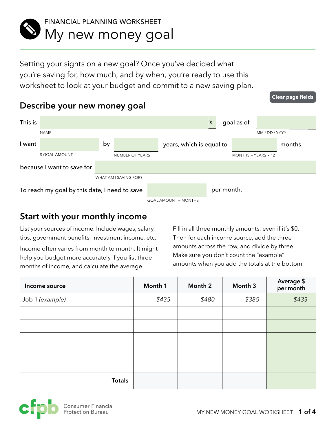

Setting your sights on a new goal? Once you've decided what you're saving for, how much, and by when, you're ready to use this worksheet to look at your budget and commit to a new saving plan.

# **Describe your new money goal**

| This is                                       |                            |                 |                       | 's                          |            | goal as of                 |            |         |
|-----------------------------------------------|----------------------------|-----------------|-----------------------|-----------------------------|------------|----------------------------|------------|---------|
|                                               | <b>NAME</b>                |                 |                       |                             |            |                            | MM/DD/YYYY |         |
| l want                                        |                            | by              |                       | years, which is equal to    |            |                            |            | months. |
|                                               | \$ GOAL AMOUNT             | NUMBER OF YEARS |                       |                             |            | $MONTHS = YEARS \times 12$ |            |         |
|                                               | because I want to save for |                 |                       |                             |            |                            |            |         |
|                                               |                            |                 | WHAT AM I SAVING FOR? |                             |            |                            |            |         |
| To reach my goal by this date, I need to save |                            |                 |                       |                             | per month. |                            |            |         |
|                                               |                            |                 |                       | <b>GOAL AMOUNT + MONTHS</b> |            |                            |            |         |

# **Start with your monthly income**

List your sources of income. Include wages, salary, tips, government benefits, investment income, etc.

Income often varies from month to month. It might help you budget more accurately if you list three months of income, and calculate the average.

Fill in all three monthly amounts, even if it's \$0. Then for each income source, add the three amounts across the row, and divide by three. Make sure you don't count the "example" amounts when you add the totals at the bottom.

**Clear page fields**

| Income source   | Month 1 | Month 2 | Month 3 | Average \$<br>per month |
|-----------------|---------|---------|---------|-------------------------|
| Job 1 (example) | \$435   | \$480   | \$385   | \$433                   |
|                 |         |         |         |                         |
|                 |         |         |         |                         |
|                 |         |         |         |                         |
|                 |         |         |         |                         |
|                 |         |         |         |                         |
| <b>Totals</b>   |         |         |         |                         |

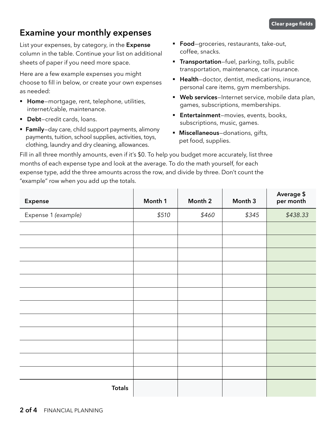# **Examine your monthly expenses**

List your expenses, by category, in the **Expense**  column in the table. Continue your list on additional sheets of paper if you need more space.

Here are a few example expenses you might choose to fill in below, or create your own expenses as needed:

- § **Home**—mortgage, rent, telephone, utilities, internet/cable, maintenance.
- **Debt-credit cards, loans.**
- **Family**-day care, child support payments, alimony payments, tuition, school supplies, activities, toys, clothing, laundry and dry cleaning, allowances.
- **Food**–groceries, restaurants, take-out, coffee, snacks.
- **Transportation**—fuel, parking, tolls, public transportation, maintenance, car insurance.
- **E** Health-doctor, dentist, medications, insurance, personal care items, gym memberships.
- § **Web services**—Internet service, mobile data plan, games, subscriptions, memberships.
- **Entertainment-movies, events, books,** subscriptions, music, games.
- § **Miscellaneous**—donations, gifts, pet food, supplies.

Fill in all three monthly amounts, even if it's \$0. To help you budget more accurately, list three months of each expense type and look at the average. To do the math yourself, for each expense type, add the three amounts across the row, and divide by three. Don't count the "example" row when you add up the totals.

| Expense             | Month 1 | Month 2 | Month 3 | Average \$<br>per month |
|---------------------|---------|---------|---------|-------------------------|
| Expense 1 (example) | \$510   | \$460   | \$345   | \$438.33                |
|                     |         |         |         |                         |
|                     |         |         |         |                         |
|                     |         |         |         |                         |
|                     |         |         |         |                         |
|                     |         |         |         |                         |
|                     |         |         |         |                         |
|                     |         |         |         |                         |
|                     |         |         |         |                         |
|                     |         |         |         |                         |
|                     |         |         |         |                         |
|                     |         |         |         |                         |
|                     |         |         |         |                         |
| <b>Totals</b>       |         |         |         |                         |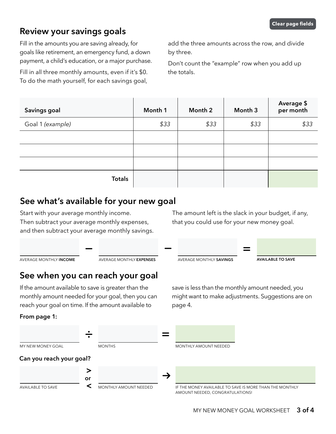## **Review your savings goals**

Fill in the amounts you are saving already, for goals like retirement, an emergency fund, a down payment, a child's education, or a major purchase.

Fill in all three monthly amounts, even if it's \$0. To do the math yourself, for each savings goal,

add the three amounts across the row, and divide by three.

Don't count the "example" row when you add up the totals.

| Savings goal     | Month 1 | Month 2 | Month 3 | Average \$<br>per month |
|------------------|---------|---------|---------|-------------------------|
| Goal 1 (example) | \$33    | \$33    | \$33    | \$33                    |
|                  |         |         |         |                         |
|                  |         |         |         |                         |
|                  |         |         |         |                         |
| <b>Totals</b>    |         |         |         |                         |

## **See what's available for your new goal**

Start with your average monthly income. Then subtract your average monthly expenses, and then subtract your average monthly savings. The amount left is the slack in your budget, if any, that you could use for your new money goal.

save is less than the monthly amount needed, you might want to make adjustments. Suggestions are on

| AVERAGE MONTHLY INCOME | AVERAGE MONTHLY <b>EXPENSES</b> | AVERAGE MONTHLY SAVINGS | <b>AVAILABLE TO SAVE</b> |  |
|------------------------|---------------------------------|-------------------------|--------------------------|--|

# **See when you can reach your goal**

If the amount available to save is greater than the monthly amount needed for your goal, then you can reach your goal on time. If the amount available to

#### **From page 1:**



page 4.